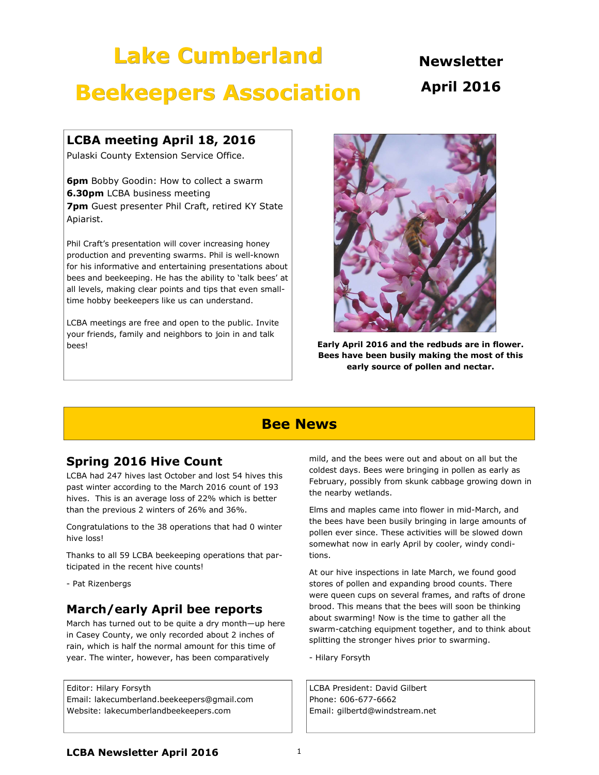# Lake Cumberland

**Newsletter** April 2016

## Beekeepers Association

### LCBA meeting April 18, 2016

Pulaski County Extension Service Office.

**6pm** Bobby Goodin: How to collect a swarm **6.30pm** LCBA business meeting **7pm** Guest presenter Phil Craft, retired KY State Apiarist.

Phil Craft's presentation will cover increasing honey production and preventing swarms. Phil is well-known for his informative and entertaining presentations about bees and beekeeping. He has the ability to 'talk bees' at all levels, making clear points and tips that even smalltime hobby beekeepers like us can understand.

LCBA meetings are free and open to the public. Invite your friends, family and neighbors to join in and talk bees!



Early April 2016 and the redbuds are in flower. Bees have been busily making the most of this early source of pollen and nectar.

### Bee News

### Spring 2016 Hive Count

LCBA had 247 hives last October and lost 54 hives this past winter according to the March 2016 count of 193 hives. This is an average loss of 22% which is better than the previous 2 winters of 26% and 36%.

Congratulations to the 38 operations that had 0 winter hive loss!

Thanks to all 59 LCBA beekeeping operations that participated in the recent hive counts!

- Pat Rizenbergs

### March/early April bee reports

March has turned out to be quite a dry month—up here in Casey County, we only recorded about 2 inches of rain, which is half the normal amount for this time of year. The winter, however, has been comparatively

Editor: Hilary Forsyth Email: lakecumberland.beekeepers@gmail.com Website: lakecumberlandbeekeepers.com

mild, and the bees were out and about on all but the coldest days. Bees were bringing in pollen as early as February, possibly from skunk cabbage growing down in the nearby wetlands.

Elms and maples came into flower in mid-March, and the bees have been busily bringing in large amounts of pollen ever since. These activities will be slowed down somewhat now in early April by cooler, windy conditions.

At our hive inspections in late March, we found good stores of pollen and expanding brood counts. There were queen cups on several frames, and rafts of drone brood. This means that the bees will soon be thinking about swarming! Now is the time to gather all the swarm-catching equipment together, and to think about splitting the stronger hives prior to swarming.

- Hilary Forsyth

LCBA President: David Gilbert Phone: 606-677-6662 Email: gilbertd@windstream.net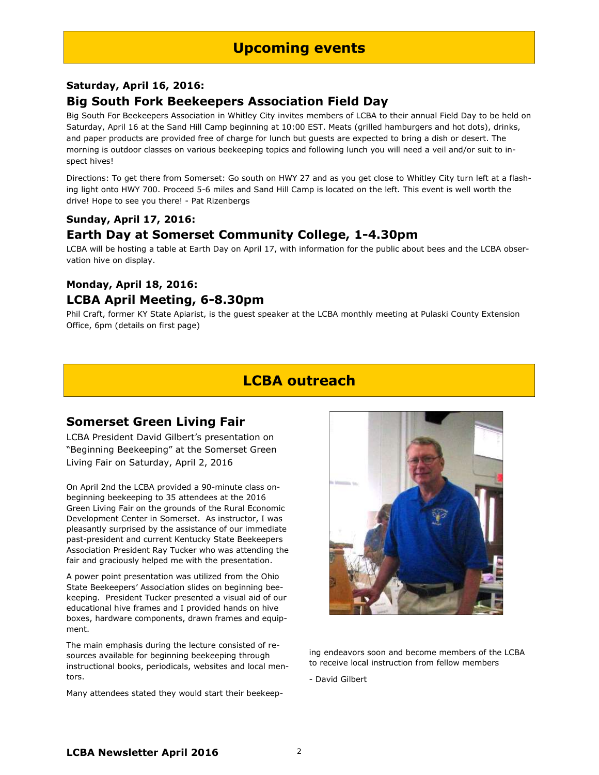### Saturday, April 16, 2016: Big South Fork Beekeepers Association Field Day

Big South For Beekeepers Association in Whitley City invites members of LCBA to their annual Field Day to be held on Saturday, April 16 at the Sand Hill Camp beginning at 10:00 EST. Meats (grilled hamburgers and hot dots), drinks, and paper products are provided free of charge for lunch but guests are expected to bring a dish or desert. The morning is outdoor classes on various beekeeping topics and following lunch you will need a veil and/or suit to inspect hives!

Directions: To get there from Somerset: Go south on HWY 27 and as you get close to Whitley City turn left at a flashing light onto HWY 700. Proceed 5-6 miles and Sand Hill Camp is located on the left. This event is well worth the drive! Hope to see you there! - Pat Rizenbergs

#### Sunday, April 17, 2016:

### Earth Day at Somerset Community College, 1-4.30pm

LCBA will be hosting a table at Earth Day on April 17, with information for the public about bees and the LCBA observation hive on display.

### Monday, April 18, 2016:

### LCBA April Meeting, 6-8.30pm

Phil Craft, former KY State Apiarist, is the guest speaker at the LCBA monthly meeting at Pulaski County Extension Office, 6pm (details on first page)

## LCBA outreach

### Somerset Green Living Fair

LCBA President David Gilbert's presentation on "Beginning Beekeeping" at the Somerset Green Living Fair on Saturday, April 2, 2016

On April 2nd the LCBA provided a 90-minute class onbeginning beekeeping to 35 attendees at the 2016 Green Living Fair on the grounds of the Rural Economic Development Center in Somerset. As instructor, I was pleasantly surprised by the assistance of our immediate past-president and current Kentucky State Beekeepers Association President Ray Tucker who was attending the fair and graciously helped me with the presentation.

A power point presentation was utilized from the Ohio State Beekeepers' Association slides on beginning beekeeping. President Tucker presented a visual aid of our educational hive frames and I provided hands on hive boxes, hardware components, drawn frames and equipment.

The main emphasis during the lecture consisted of resources available for beginning beekeeping through instructional books, periodicals, websites and local mentors.

Many attendees stated they would start their beekeep-



ing endeavors soon and become members of the LCBA to receive local instruction from fellow members

- David Gilbert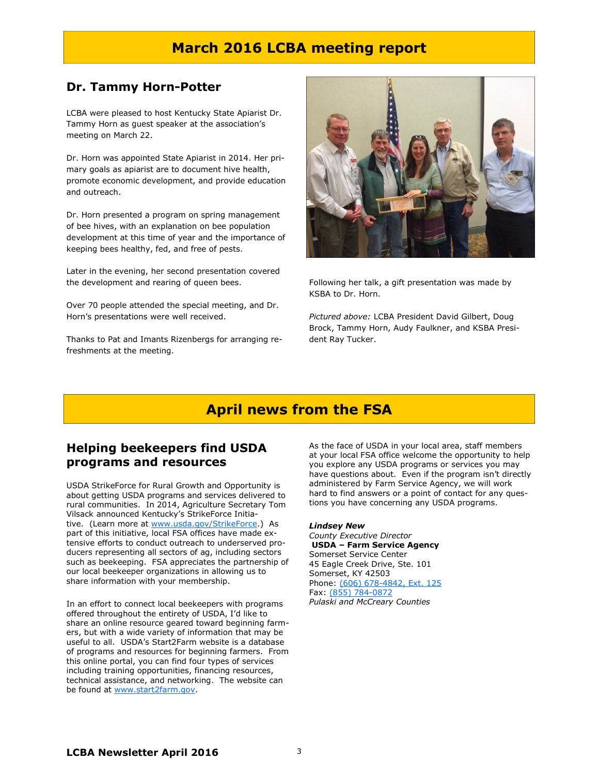### March 2016 LCBA meeting report

#### Dr. Tammy Horn-Potter

LCBA were pleased to host Kentucky State Apiarist Dr. Tammy Horn as guest speaker at the association's meeting on March 22.

Dr. Horn was appointed State Apiarist in 2014. Her primary goals as apiarist are to document hive health, promote economic development, and provide education and outreach.

Dr. Horn presented a program on spring management of bee hives, with an explanation on bee population development at this time of year and the importance of keeping bees healthy, fed, and free of pests.

Later in the evening, her second presentation covered the development and rearing of queen bees.

Over 70 people attended the special meeting, and Dr. Horn's presentations were well received.

Thanks to Pat and Imants Rizenbergs for arranging refreshments at the meeting.



Following her talk, a gift presentation was made by KSBA to Dr. Horn.

Pictured above: LCBA President David Gilbert, Doug Brock, Tammy Horn, Audy Faulkner, and KSBA President Ray Tucker.

### April news from the FSA

### Helping beekeepers find USDA programs and resources

USDA StrikeForce for Rural Growth and Opportunity is about getting USDA programs and services delivered to rural communities. In 2014, Agriculture Secretary Tom Vilsack announced Kentucky's StrikeForce Initiative. (Learn more at www.usda.gov/StrikeForce.) As part of this initiative, local FSA offices have made extensive efforts to conduct outreach to underserved producers representing all sectors of ag, including sectors such as beekeeping. FSA appreciates the partnership of our local beekeeper organizations in allowing us to share information with your membership.

In an effort to connect local beekeepers with programs offered throughout the entirety of USDA, I'd like to share an online resource geared toward beginning farmers, but with a wide variety of information that may be useful to all. USDA's Start2Farm website is a database of programs and resources for beginning farmers. From this online portal, you can find four types of services including training opportunities, financing resources, technical assistance, and networking. The website can be found at www.start2farm.gov.

As the face of USDA in your local area, staff members at your local FSA office welcome the opportunity to help you explore any USDA programs or services you may have questions about. Even if the program isn't directly administered by Farm Service Agency, we will work hard to find answers or a point of contact for any questions you have concerning any USDA programs.

#### Lindsey New

County Executive Director USDA – Farm Service Agency Somerset Service Center 45 Eagle Creek Drive, Ste. 101 Somerset, KY 42503 Phone: (606) 678-4842, Ext. 125 Fax: (855) 784-0872 Pulaski and McCreary Counties